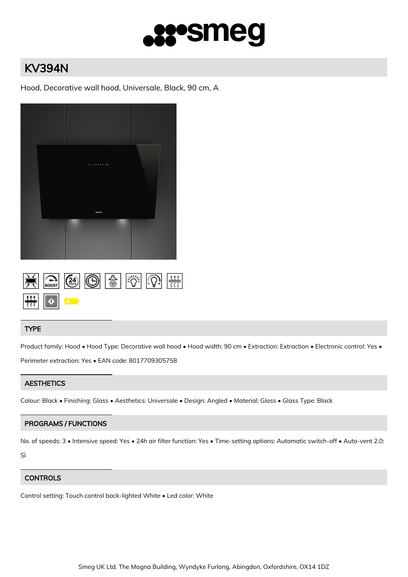

# KV394N

Hood, Decorative wall hood, Universale, Black, 90 cm, A





## TYPE

Product family: Hood • Hood Type: Decorative wall hood • Hood width: 90 cm • Extraction: Extraction • Electronic control: Yes • Perimeter extraction: Yes • EAN code: 8017709305758

## **AESTHETICS**

Colour: Black • Finishing: Glass • Aesthetics: Universale • Design: Angled • Material: Glass • Glass Type: Black

## PROGRAMS / FUNCTIONS

No. of speeds: 3 • Intensive speed: Yes • 24h air filter function: Yes • Time-setting options: Automatic switch-off • Auto-vent 2.0: Sì

## **CONTROLS**

Control setting: Touch control back-lighted White • Led color: White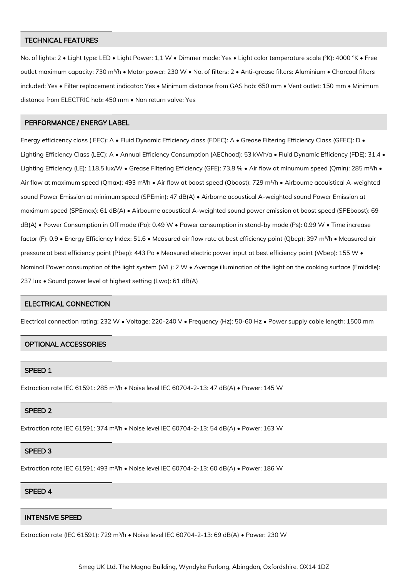### TECHNICAL FEATURES

No. of lights: 2 • Light type: LED • Light Power: 1,1 W • Dimmer mode: Yes • Light color temperature scale (°K): 4000 °K • Free outlet maximum capacity: 730 m<sup>3</sup>/h • Motor power: 230 W • No. of filters: 2 • Anti-grease filters: Aluminium • Charcoal filters included: Yes • Filter replacement indicator: Yes • Minimum distance from GAS hob: 650 mm • Vent outlet: 150 mm • Minimum distance from ELECTRIC hob: 450 mm • Non return valve: Yes

#### PERFORMANCE / ENERGY LABEL

Energy efficicency class (EEC): A • Fluid Dynamic Efficiency class (FDEC): A • Grease Filtering Efficiency Class (GFEC): D • Lighting Efficiency Class (LEC): A • Annual Efficiency Consumption (AEChood): 53 kWh/a • Fluid Dynamic Efficiency (FDE): 31.4 • Lighting Efficiency (LE): 118.5 lux/W • Grease Filtering Efficiency (GFE): 73.8 % • Air flow at minumum speed (Qmin): 285 m<sup>3</sup>/h • Air flow at maximum speed (Qmax): 493 m<sup>3</sup>/h • Air flow at boost speed (Qboost): 729 m<sup>3</sup>/h • Airbourne acouistical A-weighted sound Power Emission at minimum speed (SPEmin): 47 dB(A) · Airborne acoustical A-weighted sound Power Emission at maximum speed (SPEmax): 61 dB(A) • Airbourne acoustical A-weighted sound power emission at boost speed (SPEboost): 69 dB(A) • Power Consumption in Off mode (Po): 0.49 W • Power consumption in stand-by mode (Ps): 0.99 W • Time increase factor (F): 0.9 • Energy Efficiency Index: 51.6 • Measured air flow rate at best efficiency point (Qbep): 397 m<sup>3</sup>/h • Measured air pressure at best efficiency point (Pbep): 443 Pa • Measured electric power input at best efficiency point (Wbep): 155 W • Nominal Power consumption of the light system (WL): 2 W • Average illumination of the light on the cooking surface (Emiddle): 237 lux • Sound power level at highest setting (Lwa): 61 dB(A)

#### ELECTRICAL CONNECTION

Electrical connection rating: 232 W • Voltage: 220-240 V • Frequency (Hz): 50-60 Hz • Power supply cable length: 1500 mm

#### OPTIONAL ACCESSORIES

## SPEED 1

Extraction rate IEC 61591: 285 m<sup>3</sup>/h • Noise level IEC 60704-2-13: 47 dB(A) • Power: 145 W

#### SPEED 2

Extraction rate IEC 61591: 374 m<sup>3</sup>/h • Noise level IEC 60704-2-13: 54 dB(A) • Power: 163 W

#### SPEED 3

Extraction rate IEC 61591: 493 m³/h • Noise level IEC 60704-2-13: 60 dB(A) • Power: 186 W

#### SPEED 4

## INTENSIVE SPEED

Extraction rate (IEC 61591): 729 m<sup>3</sup>/h · Noise level IEC 60704-2-13: 69 dB(A) · Power: 230 W